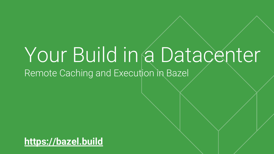# Your Build in a Datacenter Remote Caching and Execution in Bazel

**<https://bazel.build>**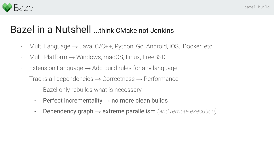

### Bazel in a Nutshell ...think CMake not Jenkins

- Multi Language  $\rightarrow$  Java, C/C++, Python, Go, Android, iOS, Docker, etc.
- Multi Platform → Windows, macOS, Linux, FreeBSD
- Extension Language  $\rightarrow$  Add build rules for any language
- Tracks all dependencies  $\rightarrow$  Correctness  $\rightarrow$  Performance
	- Bazel only rebuilds what is necessary
	- Perfect incrementality  $\rightarrow$  no more clean builds
	- Dependency graph → extreme parallelism *(and remote execution)*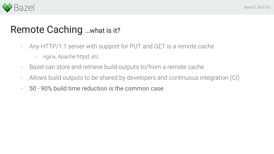

## Remote Caching ...what is it?

- Any HTTP/1.1 server with support for PUT and GET is a remote cache
	- nginx, Apache httpd, etc.
- Bazel can store and retrieve build outputs to/from a remote cache
- Allows build outputs to be shared by developers and continuous integration (CI)
- 50 90% build time reduction is the common case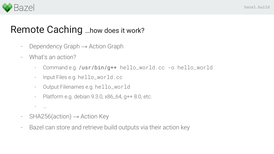

#### Remote Caching …how does it work?

- Dependency Graph  $\rightarrow$  Action Graph
- What's an action?
	- Command e.g. /usr/bin/g++ hello\_world.cc -o hello\_world
	- Input Files e.g. hello\_world.cc
	- Output Filenames e.g. hello\_world
	- Platform e.g. debian 9.3.0, x86\_64, g++ 8.0, etc.
	- $\ldots$
- $-$  SHA256(action)  $\rightarrow$  Action Key
- Bazel can store and retrieve build outputs via their action key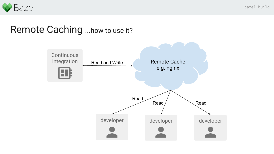

#### Remote Caching ...how to use it?

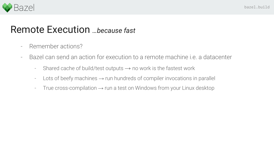

#### Remote Execution *…because fast*

- Remember actions?
- Bazel can send an action for execution to a remote machine i.e. a datacenter
	- Shared cache of build/test outputs  $\rightarrow$  no work is the fastest work
	- $-$  Lots of beefy machines  $\rightarrow$  run hundreds of compiler invocations in parallel
	- True cross-compilation  $\rightarrow$  run a test on Windows from your Linux desktop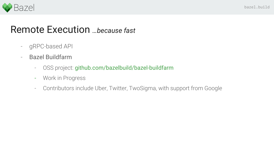

#### Remote Execution *…because fast*

- gRPC-based API
- Bazel Buildfarm
	- OSS project: github.com/bazelbuild/bazel-buildfarm
	- Work in Progress
	- Contributors include Uber, Twitter, TwoSigma, with support from Google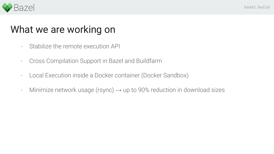

# What we are working on

- Stabilize the remote execution API
- Cross Compilation Support in Bazel and Buildfarm
- Local Execution inside a Docker container (Docker Sandbox)
- Minimize network usage (rsync)  $\rightarrow$  up to 90% reduction in download sizes